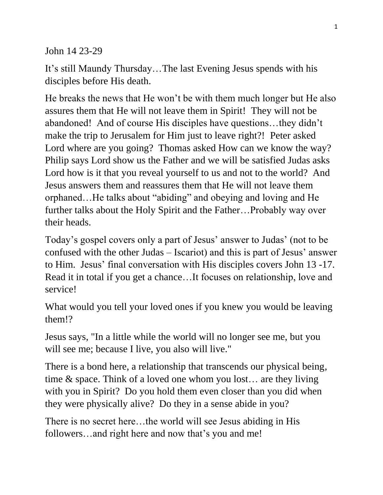John 14 23-29

It's still Maundy Thursday…The last Evening Jesus spends with his disciples before His death.

He breaks the news that He won't be with them much longer but He also assures them that He will not leave them in Spirit! They will not be abandoned! And of course His disciples have questions…they didn't make the trip to Jerusalem for Him just to leave right?! Peter asked Lord where are you going? Thomas asked How can we know the way? Philip says Lord show us the Father and we will be satisfied Judas asks Lord how is it that you reveal yourself to us and not to the world? And Jesus answers them and reassures them that He will not leave them orphaned…He talks about "abiding" and obeying and loving and He further talks about the Holy Spirit and the Father…Probably way over their heads.

Today's gospel covers only a part of Jesus' answer to Judas' (not to be confused with the other Judas – Iscariot) and this is part of Jesus' answer to Him. Jesus' final conversation with His disciples covers John 13 -17. Read it in total if you get a chance…It focuses on relationship, love and service!

What would you tell your loved ones if you knew you would be leaving them!?

Jesus says, "In a little while the world will no longer see me, but you will see me; because I live, you also will live."

There is a bond here, a relationship that transcends our physical being, time & space. Think of a loved one whom you lost… are they living with you in Spirit? Do you hold them even closer than you did when they were physically alive? Do they in a sense abide in you?

There is no secret here…the world will see Jesus abiding in His followers…and right here and now that's you and me!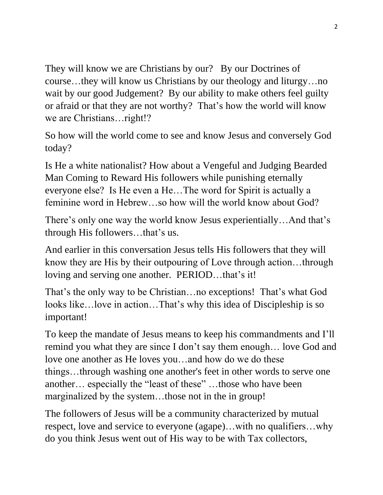They will know we are Christians by our? By our Doctrines of course…they will know us Christians by our theology and liturgy…no wait by our good Judgement? By our ability to make others feel guilty or afraid or that they are not worthy? That's how the world will know we are Christians…right!?

So how will the world come to see and know Jesus and conversely God today?

Is He a white nationalist? How about a Vengeful and Judging Bearded Man Coming to Reward His followers while punishing eternally everyone else? Is He even a He…The word for Spirit is actually a feminine word in Hebrew…so how will the world know about God?

There's only one way the world know Jesus experientially…And that's through His followers…that's us.

And earlier in this conversation Jesus tells His followers that they will know they are His by their outpouring of Love through action…through loving and serving one another. PERIOD…that's it!

That's the only way to be Christian…no exceptions! That's what God looks like…love in action…That's why this idea of Discipleship is so important!

To keep the mandate of Jesus means to keep his commandments and I'll remind you what they are since I don't say them enough… love God and love one another as He loves you…and how do we do these things…through washing one another's feet in other words to serve one another… especially the "least of these" …those who have been marginalized by the system…those not in the in group!

The followers of Jesus will be a community characterized by mutual respect, love and service to everyone (agape)…with no qualifiers…why do you think Jesus went out of His way to be with Tax collectors,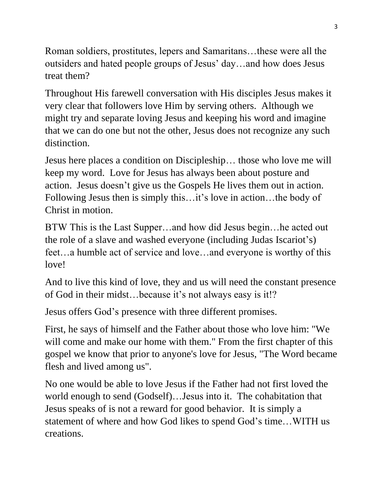Roman soldiers, prostitutes, lepers and Samaritans…these were all the outsiders and hated people groups of Jesus' day…and how does Jesus treat them?

Throughout His farewell conversation with His disciples Jesus makes it very clear that followers love Him by serving others. Although we might try and separate loving Jesus and keeping his word and imagine that we can do one but not the other, Jesus does not recognize any such distinction.

Jesus here places a condition on Discipleship… those who love me will keep my word. Love for Jesus has always been about posture and action. Jesus doesn't give us the Gospels He lives them out in action. Following Jesus then is simply this…it's love in action…the body of Christ in motion.

BTW This is the Last Supper…and how did Jesus begin…he acted out the role of a slave and washed everyone (including Judas Iscariot's) feet…a humble act of service and love…and everyone is worthy of this love!

And to live this kind of love, they and us will need the constant presence of God in their midst…because it's not always easy is it!?

Jesus offers God's presence with three different promises.

First, he says of himself and the Father about those who love him: "We will come and make our home with them." From the first chapter of this gospel we know that prior to anyone's love for Jesus, "The Word became flesh and lived among us".

No one would be able to love Jesus if the Father had not first loved the world enough to send (Godself)…Jesus into it. The cohabitation that Jesus speaks of is not a reward for good behavior. It is simply a statement of where and how God likes to spend God's time…WITH us creations.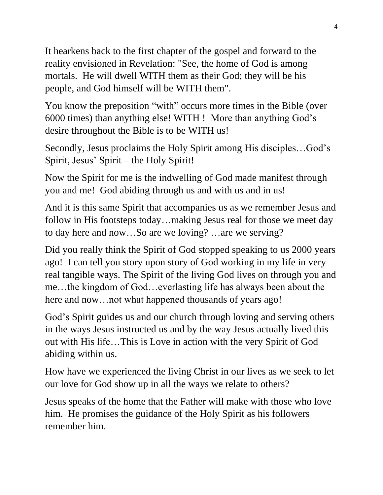It hearkens back to the first chapter of the gospel and forward to the reality envisioned in Revelation: "See, the home of God is among mortals. He will dwell WITH them as their God; they will be his people, and God himself will be WITH them".

You know the preposition "with" occurs more times in the Bible (over 6000 times) than anything else! WITH ! More than anything God's desire throughout the Bible is to be WITH us!

Secondly, Jesus proclaims the Holy Spirit among His disciples…God's Spirit, Jesus' Spirit – the Holy Spirit!

Now the Spirit for me is the indwelling of God made manifest through you and me! God abiding through us and with us and in us!

And it is this same Spirit that accompanies us as we remember Jesus and follow in His footsteps today…making Jesus real for those we meet day to day here and now…So are we loving? …are we serving?

Did you really think the Spirit of God stopped speaking to us 2000 years ago! I can tell you story upon story of God working in my life in very real tangible ways. The Spirit of the living God lives on through you and me…the kingdom of God…everlasting life has always been about the here and now...not what happened thousands of years ago!

God's Spirit guides us and our church through loving and serving others in the ways Jesus instructed us and by the way Jesus actually lived this out with His life…This is Love in action with the very Spirit of God abiding within us.

How have we experienced the living Christ in our lives as we seek to let our love for God show up in all the ways we relate to others?

Jesus speaks of the home that the Father will make with those who love him. He promises the guidance of the Holy Spirit as his followers remember him.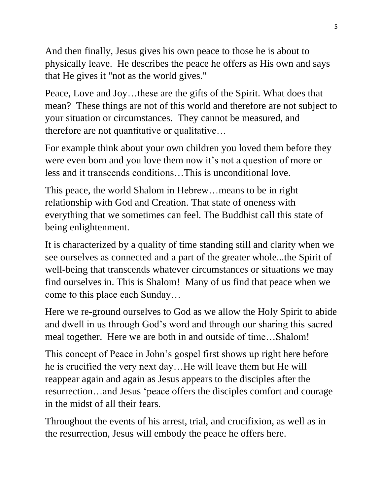And then finally, Jesus gives his own peace to those he is about to physically leave. He describes the peace he offers as His own and says that He gives it "not as the world gives."

Peace, Love and Joy…these are the gifts of the Spirit. What does that mean? These things are not of this world and therefore are not subject to your situation or circumstances. They cannot be measured, and therefore are not quantitative or qualitative…

For example think about your own children you loved them before they were even born and you love them now it's not a question of more or less and it transcends conditions…This is unconditional love.

This peace, the world Shalom in Hebrew…means to be in right relationship with God and Creation. That state of oneness with everything that we sometimes can feel. The Buddhist call this state of being enlightenment.

It is characterized by a quality of time standing still and clarity when we see ourselves as connected and a part of the greater whole...the Spirit of well-being that transcends whatever circumstances or situations we may find ourselves in. This is Shalom! Many of us find that peace when we come to this place each Sunday…

Here we re-ground ourselves to God as we allow the Holy Spirit to abide and dwell in us through God's word and through our sharing this sacred meal together. Here we are both in and outside of time…Shalom!

This concept of Peace in John's gospel first shows up right here before he is crucified the very next day…He will leave them but He will reappear again and again as Jesus appears to the disciples after the resurrection…and Jesus 'peace offers the disciples comfort and courage in the midst of all their fears.

Throughout the events of his arrest, trial, and crucifixion, as well as in the resurrection, Jesus will embody the peace he offers here.